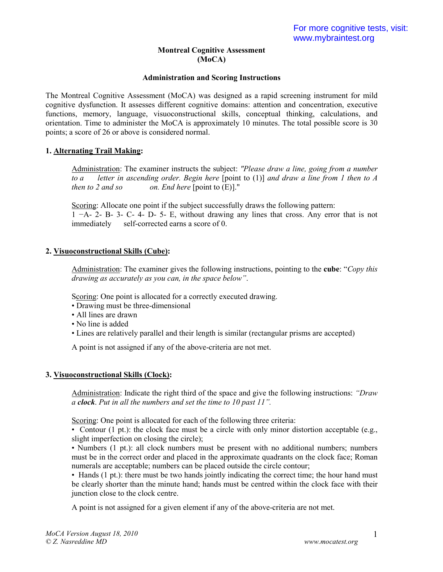### **Montreal Cognitive Assessment (MoCA)**

### **Administration and Scoring Instructions**

The Montreal Cognitive Assessment (MoCA) was designed as a rapid screening instrument for mild cognitive dysfunction. It assesses different cognitive domains: attention and concentration, executive functions, memory, language, visuoconstructional skills, conceptual thinking, calculations, and orientation. Time to administer the MoCA is approximately 10 minutes. The total possible score is 30 points; a score of 26 or above is considered normal.

### **1. Alternating Trail Making:**

Administration: The examiner instructs the subject: *"Please draw a line, going from a number to a letter in ascending order. Begin here* [point to (1)] *and draw a line from 1 then to A then to 2 and so on. End here* [point to (E)]."

Scoring: Allocate one point if the subject successfully draws the following pattern: 1 −A- 2- B- 3- C- 4- D- 5- E, without drawing any lines that cross. Any error that is not immediately self-corrected earns a score of 0.

### **2. Visuoconstructional Skills (Cube):**

Administration: The examiner gives the following instructions, pointing to the **cube**: "*Copy this drawing as accurately as you can, in the space below"*.

Scoring: One point is allocated for a correctly executed drawing.

- Drawing must be three-dimensional
- All lines are drawn
- No line is added
- Lines are relatively parallel and their length is similar (rectangular prisms are accepted)

A point is not assigned if any of the above-criteria are not met.

### **3. Visuoconstructional Skills (Clock):**

Administration: Indicate the right third of the space and give the following instructions: *"Draw a clock*. *Put in all the numbers and set the time to 10 past 11".*

Scoring: One point is allocated for each of the following three criteria:

• Contour  $(1 \text{ pt.})$ : the clock face must be a circle with only minor distortion acceptable (e.g., slight imperfection on closing the circle);

• Numbers (1 pt.): all clock numbers must be present with no additional numbers; numbers must be in the correct order and placed in the approximate quadrants on the clock face; Roman numerals are acceptable; numbers can be placed outside the circle contour;

• Hands (1 pt.): there must be two hands jointly indicating the correct time; the hour hand must be clearly shorter than the minute hand; hands must be centred within the clock face with their junction close to the clock centre.

A point is not assigned for a given element if any of the above-criteria are not met.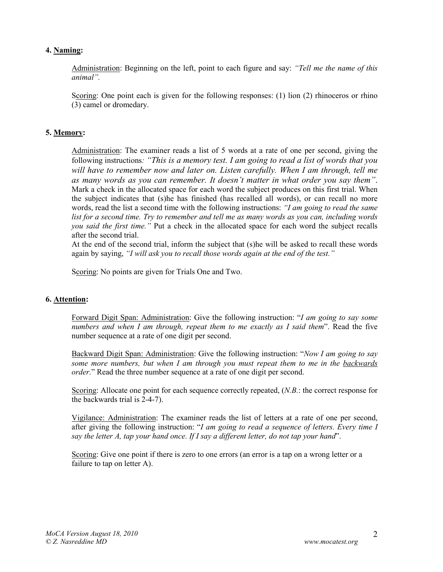### **4. Naming:**

Administration: Beginning on the left, point to each figure and say: *"Tell me the name of this animal".* 

Scoring: One point each is given for the following responses: (1) lion (2) rhinoceros or rhino (3) camel or dromedary.

### **5. Memory:**

Administration: The examiner reads a list of 5 words at a rate of one per second, giving the following instructions*: "This is a memory test. I am going to read a list of words that you will have to remember now and later on. Listen carefully. When I am through, tell me as many words as you can remember. It doesn't matter in what order you say them"*. Mark a check in the allocated space for each word the subject produces on this first trial. When the subject indicates that (s)he has finished (has recalled all words), or can recall no more words, read the list a second time with the following instructions: *"I am going to read the same list for a second time. Try to remember and tell me as many words as you can, including words you said the first time."* Put a check in the allocated space for each word the subject recalls after the second trial.

At the end of the second trial, inform the subject that (s)he will be asked to recall these words again by saying, *"I will ask you to recall those words again at the end of the test."*

Scoring: No points are given for Trials One and Two.

### **6. Attention:**

Forward Digit Span: Administration: Give the following instruction: "*I am going to say some numbers and when I am through, repeat them to me exactly as I said them*". Read the five number sequence at a rate of one digit per second.

Backward Digit Span: Administration: Give the following instruction: "*Now I am going to say some more numbers, but when I am through you must repeat them to me in the backwards order.*" Read the three number sequence at a rate of one digit per second.

Scoring: Allocate one point for each sequence correctly repeated, (*N.B.*: the correct response for the backwards trial is 2-4-7).

Vigilance: Administration: The examiner reads the list of letters at a rate of one per second, after giving the following instruction: "*I am going to read a sequence of letters. Every time I say the letter A, tap your hand once. If I say a different letter, do not tap your hand*".

Scoring: Give one point if there is zero to one errors (an error is a tap on a wrong letter or a failure to tap on letter A).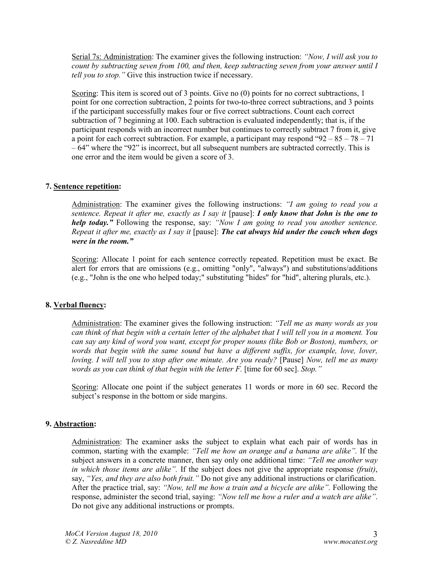Serial 7s: Administration: The examiner gives the following instruction: *"Now, I will ask you to count by subtracting seven from 100, and then, keep subtracting seven from your answer until I tell you to stop."* Give this instruction twice if necessary.

Scoring: This item is scored out of 3 points. Give no (0) points for no correct subtractions, 1 point for one correction subtraction, 2 points for two-to-three correct subtractions, and 3 points if the participant successfully makes four or five correct subtractions. Count each correct subtraction of 7 beginning at 100. Each subtraction is evaluated independently; that is, if the participant responds with an incorrect number but continues to correctly subtract 7 from it, give a point for each correct subtraction. For example, a participant may respond " $92 - 85 - 78 - 71$ "  $-64$ " where the "92" is incorrect, but all subsequent numbers are subtracted correctly. This is one error and the item would be given a score of 3.

### **7. Sentence repetition:**

Administration: The examiner gives the following instructions: *"I am going to read you a sentence. Repeat it after me, exactly as I say it* [pause]: *I only know that John is the one to help today."* Following the response, say: *"Now I am going to read you another sentence. Repeat it after me, exactly as I say it* [pause]: *The cat always hid under the couch when dogs were in the room."*

Scoring: Allocate 1 point for each sentence correctly repeated. Repetition must be exact. Be alert for errors that are omissions (e.g., omitting "only", "always") and substitutions/additions (e.g., "John is the one who helped today;" substituting "hides" for "hid", altering plurals, etc.).

### **8. Verbal fluency:**

Administration: The examiner gives the following instruction: *"Tell me as many words as you can think of that begin with a certain letter of the alphabet that I will tell you in a moment. You can say any kind of word you want, except for proper nouns (like Bob or Boston), numbers, or words that begin with the same sound but have a different suffix, for example, love, lover, loving. I will tell you to stop after one minute. Are you ready?* [Pause] *Now, tell me as many words as you can think of that begin with the letter F.* [time for 60 sec]. *Stop."*

Scoring: Allocate one point if the subject generates 11 words or more in 60 sec. Record the subject's response in the bottom or side margins.

### **9. Abstraction:**

Administration: The examiner asks the subject to explain what each pair of words has in common, starting with the example: *"Tell me how an orange and a banana are alike".* If the subject answers in a concrete manner, then say only one additional time: *"Tell me another way in which those items are alike".* If the subject does not give the appropriate response *(fruit)*, say, *"Yes, and they are also both fruit."* Do not give any additional instructions or clarification. After the practice trial, say: *"Now, tell me how a train and a bicycle are alike".* Following the response, administer the second trial, saying: *"Now tell me how a ruler and a watch are alike"*. Do not give any additional instructions or prompts.